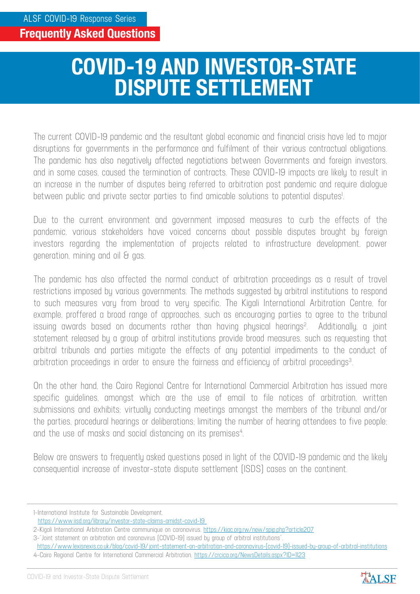## **COVID-19 AND INVESTOR-STATE DISPUTE SETTLEMENT**

The current COVID-19 pandemic and the resultant global economic and financial crisis have led to major disruptions for governments in the performance and fulfilment of their various contractual obligations. The pandemic has also negatively affected negotiations between Governments and foreign investors, and in some cases, caused the termination of contracts. These COVID-19 impacts are likely to result in an increase in the number of disputes being referred to arbitration post pandemic and require dialogue between public and private sector parties to find amicable solutions to potential disputes! .

Due to the current environment and government imposed measures to curb the effects of the pandemic, various stakeholders have voiced concerns about possible disputes brought by foreign investors regarding the implementation of projects related to infrastructure development, power generation, mining and oil & gas.

The pandemic has also affected the normal conduct of arbitration proceedings as a result of travel restrictions imposed by various governments. The methods suggested by arbitral institutions to respond to such measures vary from broad to very specific. The Kigali International Arbitration Centre, for example, proffered a broad range of approaches, such as encouraging parties to agree to the tribunal issuing awards based on documents rather than having physical hearings<sup>2</sup>. Additionally, a joint statement released by a group of arbitral institutions provide broad measures, such as requesting that arbitral tribunals and parties mitigate the effects of any potential impediments to the conduct of arbitration proceedings in order to ensure the fairness and efficiency of arbitral proceedings $3$ .

On the other hand, the Cairo Regional Centre for International Commercial Arbitration has issued more specific guidelines, amongst which are the use of email to file notices of arbitration, written submissions and exhibits; virtually conducting meetings amongst the members of the tribunal and/or the parties, procedural hearings or deliberations; limiting the number of hearing attendees to five people; and the use of masks and social distancing on its premises<sup>4</sup>.

Below are answers to frequently asked questions posed in light of the COVID-19 pandemic and the likely consequential increase of investor-state dispute settlement (ISDS) cases on the continent.



<sup>1-</sup>International Institute for Sustainable Development,

https://www.iisd.org/library/investor-state-claims-amidst-covid-19

<sup>2-</sup>Kigali International Arbitration Centre communique on coronavirus, https://kiac.org.rw/new/spip.php?article207

<sup>3-&</sup>quot;Joint statement on arbitration and coronavirus (COVID-19) issued by group of arbitral institutions",

https://www.lexisnexis.co.uk/blog/covid-19/joint-statement-on-arbitration-and-coronavirus-(covid-19)-issued-by-group-of-arbitral-institutions 4-Cairo Regional Centre for International Commercial Arbitration, https://crcica.org/NewsDetails.aspx?ID=1123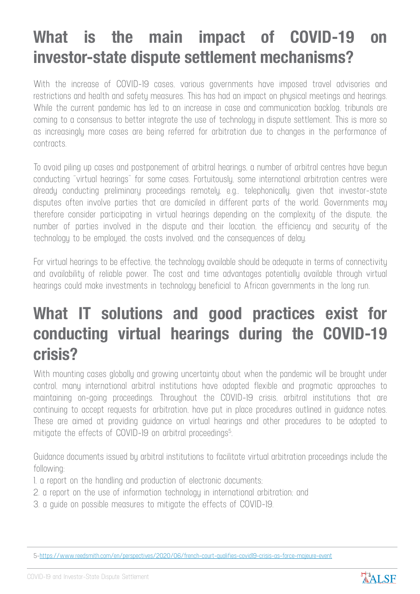## **What is the main impact of COVID-19 on investor-state dispute settlement mechanisms?**

With the increase of COVID-19 cases, various governments have imposed travel advisories and restrictions and health and safety measures. This has had an impact on physical meetings and hearings. While the current pandemic has led to an increase in case and communication backlog, tribunals are coming to a consensus to better integrate the use of technology in dispute settlement. This is more so as increasingly more cases are being referred for arbitration due to changes in the performance of contracts.

To avoid piling up cases and postponement of arbitral hearings, a number of arbitral centres have begun conducting "virtual hearings" for some cases. Fortuitously, some international arbitration centres were already conducting preliminary proceedings remotely, e.g., telephonically, given that investor-state disputes often involve parties that are domiciled in different parts of the world. Governments may therefore consider participating in virtual hearings depending on the complexity of the dispute, the number of parties involved in the dispute and their location, the efficiency and security of the technology to be employed, the costs involved, and the consequences of delay.

For virtual hearings to be effective, the technology available should be adequate in terms of connectivity and availability of reliable power. The cost and time advantages potentially available through virtual hearings could make investments in technology beneficial to African governments in the long run.

## **What IT solutions and good practices exist for conducting virtual hearings during the COVID-19 crisis?**

With mounting cases globally and growing uncertainty about when the pandemic will be brought under control, many international arbitral institutions have adopted flexible and pragmatic approaches to maintaining on-going proceedings. Throughout the COVID-19 crisis, arbitral institutions that are continuing to accept requests for arbitration, have put in place procedures outlined in guidance notes. These are aimed at providing guidance on virtual hearings and other procedures to be adopted to mitigate the effects of COVID-19 on arbitral proceedings<sup>5</sup>.

Guidance documents issued by arbitral institutions to facilitate virtual arbitration proceedings include the following:

- 1. a report on the handling and production of electronic documents;
- 2. a report on the use of information technology in international arbitration; and
- 3. a guide on possible measures to mitigate the effects of COVID-19.



<sup>5-</sup>https://www.reedsmith.com/en/perspectives/2020/06/french-court-qualifies-covid19-crisis-as-force-majeure-event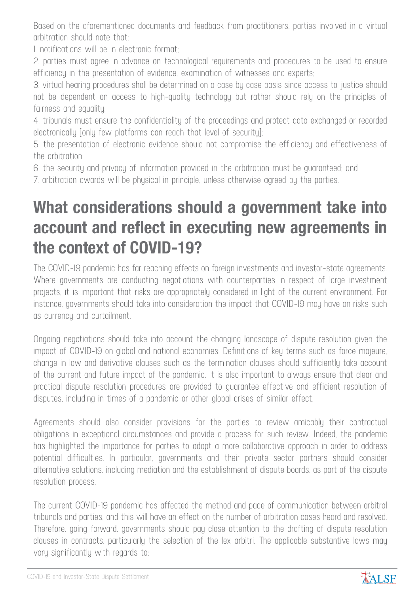Based on the aforementioned documents and feedback from practitioners, parties involved in a virtual arbitration should note that:

1. notifications will be in electronic format;

2. parties must agree in advance on technological requirements and procedures to be used to ensure efficiency in the presentation of evidence, examination of witnesses and experts;

3. virtual hearing procedures shall be determined on a case by case basis since access to justice should not be dependent on access to high-quality technology but rather should rely on the principles of fairness and equality;

4. tribunals must ensure the confidentiality of the proceedings and protect data exchanged or recorded electronically (only few platforms can reach that level of security);

5. the presentation of electronic evidence should not compromise the efficiency and effectiveness of the arbitration;

6. the security and privacy of information provided in the arbitration must be guaranteed; and

7. arbitration awards will be physical in principle, unless otherwise agreed by the parties.

## **What considerations should a government take into account and reflect in executing new agreements in the context of COVID-19?**

The COVID-19 pandemic has far reaching effects on foreign investments and investor-state agreements. Where governments are conducting negotiations with counterparties in respect of large investment projects, it is important that risks are appropriately considered in light of the current environment. For instance, governments should take into consideration the impact that COVID-19 may have on risks such as currency and curtailment.

Ongoing negotiations should take into account the changing landscape of dispute resolution given the impact of COVID-19 on global and national economies. Definitions of key terms such as force majeure, change in law and derivative clauses such as the termination clauses should sufficiently take account of the current and future impact of the pandemic. It is also important to always ensure that clear and practical dispute resolution procedures are provided to guarantee effective and efficient resolution of disputes, including in times of a pandemic or other global crises of similar effect.

Agreements should also consider provisions for the parties to review amicably their contractual obligations in exceptional circumstances and provide a process for such review. Indeed, the pandemic has highlighted the importance for parties to adopt a more collaborative approach in order to address potential difficulties. In particular, governments and their private sector partners should consider alternative solutions, including mediation and the establishment of dispute boards, as part of the dispute resolution process.

The current COVID-19 pandemic has affected the method and pace of communication between arbitral tribunals and parties, and this will have an effect on the number of arbitration cases heard and resolved. Therefore, going forward, governments should pay close attention to the drafting of dispute resolution clauses in contracts, particularly the selection of the lex arbitri. The applicable substantive laws may vary significantly with regards to: